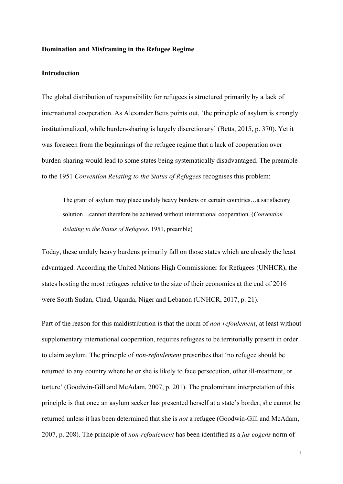## **Domination and Misframing in the Refugee Regime**

# **Introduction**

The global distribution of responsibility for refugees is structured primarily by a lack of international cooperation. As Alexander Betts points out, 'the principle of asylum is strongly institutionalized, while burden-sharing is largely discretionary' (Betts, 2015, p. 370). Yet it was foreseen from the beginnings of the refugee regime that a lack of cooperation over burden-sharing would lead to some states being systematically disadvantaged. The preamble to the 1951 *Convention Relating to the Status of Refugees* recognises this problem:

The grant of asylum may place unduly heavy burdens on certain countries…a satisfactory solution…cannot therefore be achieved without international cooperation. (*Convention Relating to the Status of Refugees*, 1951, preamble)

Today, these unduly heavy burdens primarily fall on those states which are already the least advantaged. According the United Nations High Commissioner for Refugees (UNHCR), the states hosting the most refugees relative to the size of their economies at the end of 2016 were South Sudan, Chad, Uganda, Niger and Lebanon (UNHCR, 2017, p. 21).

Part of the reason for this maldistribution is that the norm of *non-refoulement*, at least without supplementary international cooperation, requires refugees to be territorially present in order to claim asylum. The principle of *non-refoulement* prescribes that 'no refugee should be returned to any country where he or she is likely to face persecution, other ill-treatment, or torture' (Goodwin-Gill and McAdam, 2007, p. 201). The predominant interpretation of this principle is that once an asylum seeker has presented herself at a state's border, she cannot be returned unless it has been determined that she is *not* a refugee (Goodwin-Gill and McAdam, 2007, p. 208). The principle of *non-refoulement* has been identified as a *jus cogens* norm of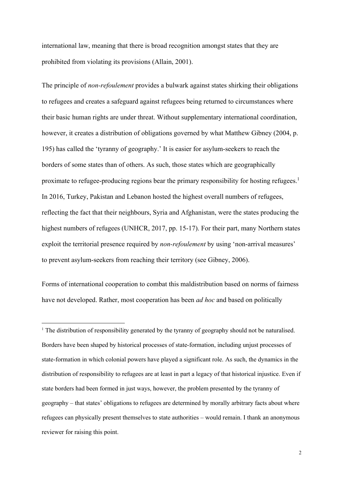international law, meaning that there is broad recognition amongst states that they are prohibited from violating its provisions (Allain, 2001).

The principle of *non-refoulement* provides a bulwark against states shirking their obligations to refugees and creates a safeguard against refugees being returned to circumstances where their basic human rights are under threat. Without supplementary international coordination, however, it creates a distribution of obligations governed by what Matthew Gibney (2004, p. 195) has called the 'tyranny of geography.' It is easier for asylum-seekers to reach the borders of some states than of others. As such, those states which are geographically proximate to refugee-producing regions bear the primary responsibility for hosting refugees.<sup>1</sup> In 2016, Turkey, Pakistan and Lebanon hosted the highest overall numbers of refugees, reflecting the fact that their neighbours, Syria and Afghanistan, were the states producing the highest numbers of refugees (UNHCR, 2017, pp. 15-17). For their part, many Northern states exploit the territorial presence required by *non-refoulement* by using 'non-arrival measures' to prevent asylum-seekers from reaching their territory (see Gibney, 2006).

Forms of international cooperation to combat this maldistribution based on norms of fairness have not developed. Rather, most cooperation has been *ad hoc* and based on politically

<sup>1</sup> The distribution of responsibility generated by the tyranny of geography should not be naturalised. Borders have been shaped by historical processes of state-formation, including unjust processes of state-formation in which colonial powers have played a significant role. As such, the dynamics in the distribution of responsibility to refugees are at least in part a legacy of that historical injustice. Even if state borders had been formed in just ways, however, the problem presented by the tyranny of geography – that states' obligations to refugees are determined by morally arbitrary facts about where refugees can physically present themselves to state authorities – would remain. I thank an anonymous reviewer for raising this point.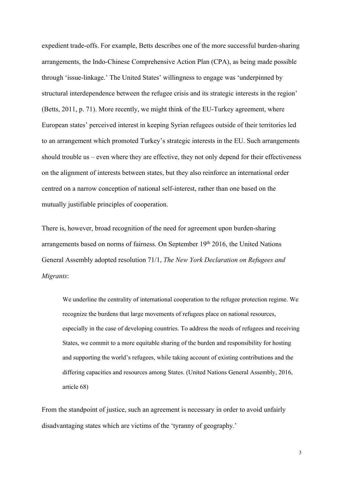expedient trade-offs. For example, Betts describes one of the more successful burden-sharing arrangements, the Indo-Chinese Comprehensive Action Plan (CPA), as being made possible through 'issue-linkage.' The United States' willingness to engage was 'underpinned by structural interdependence between the refugee crisis and its strategic interests in the region' (Betts, 2011, p. 71). More recently, we might think of the EU-Turkey agreement, where European states' perceived interest in keeping Syrian refugees outside of their territories led to an arrangement which promoted Turkey's strategic interests in the EU. Such arrangements should trouble us – even where they are effective, they not only depend for their effectiveness on the alignment of interests between states, but they also reinforce an international order centred on a narrow conception of national self-interest, rather than one based on the mutually justifiable principles of cooperation.

There is, however, broad recognition of the need for agreement upon burden-sharing arrangements based on norms of fairness. On September 19th 2016, the United Nations General Assembly adopted resolution 71/1, *The New York Declaration on Refugees and Migrants*:

We underline the centrality of international cooperation to the refugee protection regime. We recognize the burdens that large movements of refugees place on national resources, especially in the case of developing countries. To address the needs of refugees and receiving States, we commit to a more equitable sharing of the burden and responsibility for hosting and supporting the world's refugees, while taking account of existing contributions and the differing capacities and resources among States. (United Nations General Assembly, 2016, article 68)

From the standpoint of justice, such an agreement is necessary in order to avoid unfairly disadvantaging states which are victims of the 'tyranny of geography.'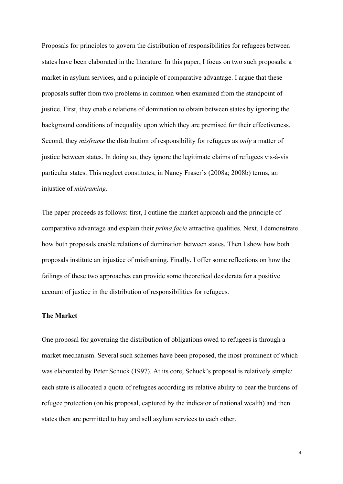Proposals for principles to govern the distribution of responsibilities for refugees between states have been elaborated in the literature. In this paper, I focus on two such proposals: a market in asylum services, and a principle of comparative advantage. I argue that these proposals suffer from two problems in common when examined from the standpoint of justice. First, they enable relations of domination to obtain between states by ignoring the background conditions of inequality upon which they are premised for their effectiveness. Second, they *misframe* the distribution of responsibility for refugees as *only* a matter of justice between states. In doing so, they ignore the legitimate claims of refugees vis-à-vis particular states. This neglect constitutes, in Nancy Fraser's (2008a; 2008b) terms, an injustice of *misframing*.

The paper proceeds as follows: first, I outline the market approach and the principle of comparative advantage and explain their *prima facie* attractive qualities. Next, I demonstrate how both proposals enable relations of domination between states. Then I show how both proposals institute an injustice of misframing. Finally, I offer some reflections on how the failings of these two approaches can provide some theoretical desiderata for a positive account of justice in the distribution of responsibilities for refugees.

## **The Market**

One proposal for governing the distribution of obligations owed to refugees is through a market mechanism. Several such schemes have been proposed, the most prominent of which was elaborated by Peter Schuck (1997). At its core, Schuck's proposal is relatively simple: each state is allocated a quota of refugees according its relative ability to bear the burdens of refugee protection (on his proposal, captured by the indicator of national wealth) and then states then are permitted to buy and sell asylum services to each other.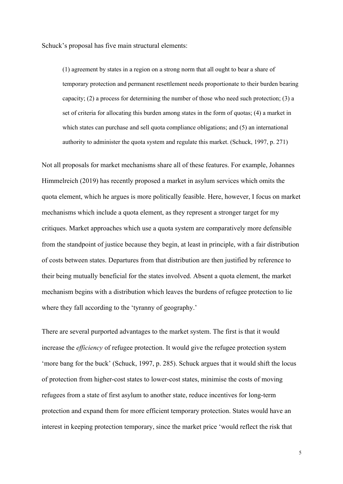Schuck's proposal has five main structural elements:

(1) agreement by states in a region on a strong norm that all ought to bear a share of temporary protection and permanent resettlement needs proportionate to their burden bearing capacity; (2) a process for determining the number of those who need such protection; (3) a set of criteria for allocating this burden among states in the form of quotas; (4) a market in which states can purchase and sell quota compliance obligations; and  $(5)$  an international authority to administer the quota system and regulate this market. (Schuck, 1997, p. 271)

Not all proposals for market mechanisms share all of these features. For example, Johannes Himmelreich (2019) has recently proposed a market in asylum services which omits the quota element, which he argues is more politically feasible. Here, however, I focus on market mechanisms which include a quota element, as they represent a stronger target for my critiques. Market approaches which use a quota system are comparatively more defensible from the standpoint of justice because they begin, at least in principle, with a fair distribution of costs between states. Departures from that distribution are then justified by reference to their being mutually beneficial for the states involved. Absent a quota element, the market mechanism begins with a distribution which leaves the burdens of refugee protection to lie where they fall according to the 'tyranny of geography.'

There are several purported advantages to the market system. The first is that it would increase the *efficiency* of refugee protection. It would give the refugee protection system 'more bang for the buck' (Schuck, 1997, p. 285). Schuck argues that it would shift the locus of protection from higher-cost states to lower-cost states, minimise the costs of moving refugees from a state of first asylum to another state, reduce incentives for long-term protection and expand them for more efficient temporary protection. States would have an interest in keeping protection temporary, since the market price 'would reflect the risk that

5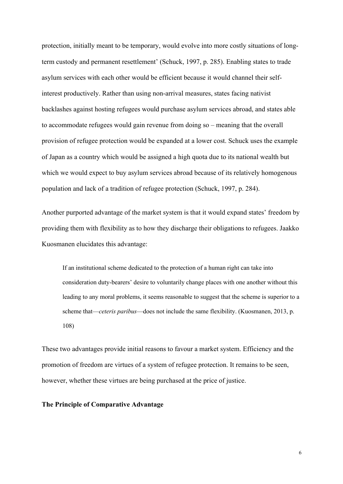protection, initially meant to be temporary, would evolve into more costly situations of longterm custody and permanent resettlement' (Schuck, 1997, p. 285). Enabling states to trade asylum services with each other would be efficient because it would channel their selfinterest productively. Rather than using non-arrival measures, states facing nativist backlashes against hosting refugees would purchase asylum services abroad, and states able to accommodate refugees would gain revenue from doing so – meaning that the overall provision of refugee protection would be expanded at a lower cost. Schuck uses the example of Japan as a country which would be assigned a high quota due to its national wealth but which we would expect to buy asylum services abroad because of its relatively homogenous population and lack of a tradition of refugee protection (Schuck, 1997, p. 284).

Another purported advantage of the market system is that it would expand states' freedom by providing them with flexibility as to how they discharge their obligations to refugees. Jaakko Kuosmanen elucidates this advantage:

If an institutional scheme dedicated to the protection of a human right can take into consideration duty-bearers' desire to voluntarily change places with one another without this leading to any moral problems, it seems reasonable to suggest that the scheme is superior to a scheme that—*ceteris paribus*—does not include the same flexibility. (Kuosmanen, 2013, p. 108)

These two advantages provide initial reasons to favour a market system. Efficiency and the promotion of freedom are virtues of a system of refugee protection. It remains to be seen, however, whether these virtues are being purchased at the price of justice.

# **The Principle of Comparative Advantage**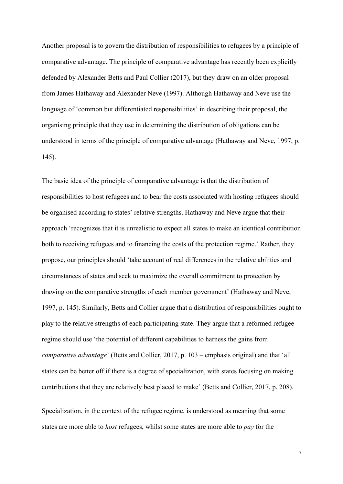Another proposal is to govern the distribution of responsibilities to refugees by a principle of comparative advantage. The principle of comparative advantage has recently been explicitly defended by Alexander Betts and Paul Collier (2017), but they draw on an older proposal from James Hathaway and Alexander Neve (1997). Although Hathaway and Neve use the language of 'common but differentiated responsibilities' in describing their proposal, the organising principle that they use in determining the distribution of obligations can be understood in terms of the principle of comparative advantage (Hathaway and Neve, 1997, p. 145).

The basic idea of the principle of comparative advantage is that the distribution of responsibilities to host refugees and to bear the costs associated with hosting refugees should be organised according to states' relative strengths. Hathaway and Neve argue that their approach 'recognizes that it is unrealistic to expect all states to make an identical contribution both to receiving refugees and to financing the costs of the protection regime.' Rather, they propose, our principles should 'take account of real differences in the relative abilities and circumstances of states and seek to maximize the overall commitment to protection by drawing on the comparative strengths of each member government' (Hathaway and Neve, 1997, p. 145). Similarly, Betts and Collier argue that a distribution of responsibilities ought to play to the relative strengths of each participating state. They argue that a reformed refugee regime should use 'the potential of different capabilities to harness the gains from *comparative advantage*' (Betts and Collier, 2017, p. 103 – emphasis original) and that 'all states can be better off if there is a degree of specialization, with states focusing on making contributions that they are relatively best placed to make' (Betts and Collier, 2017, p. 208).

Specialization, in the context of the refugee regime, is understood as meaning that some states are more able to *host* refugees, whilst some states are more able to *pay* for the

7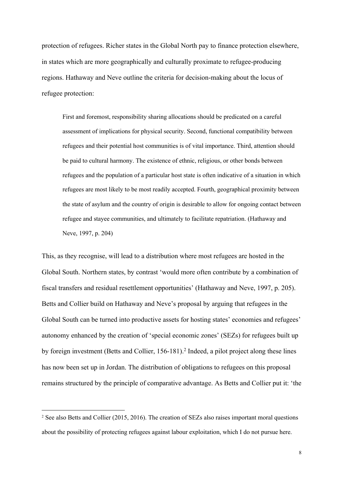protection of refugees. Richer states in the Global North pay to finance protection elsewhere, in states which are more geographically and culturally proximate to refugee-producing regions. Hathaway and Neve outline the criteria for decision-making about the locus of refugee protection:

First and foremost, responsibility sharing allocations should be predicated on a careful assessment of implications for physical security. Second, functional compatibility between refugees and their potential host communities is of vital importance. Third, attention should be paid to cultural harmony. The existence of ethnic, religious, or other bonds between refugees and the population of a particular host state is often indicative of a situation in which refugees are most likely to be most readily accepted. Fourth, geographical proximity between the state of asylum and the country of origin is desirable to allow for ongoing contact between refugee and stayee communities, and ultimately to facilitate repatriation. (Hathaway and Neve, 1997, p. 204)

This, as they recognise, will lead to a distribution where most refugees are hosted in the Global South. Northern states, by contrast 'would more often contribute by a combination of fiscal transfers and residual resettlement opportunities' (Hathaway and Neve, 1997, p. 205). Betts and Collier build on Hathaway and Neve's proposal by arguing that refugees in the Global South can be turned into productive assets for hosting states' economies and refugees' autonomy enhanced by the creation of 'special economic zones' (SEZs) for refugees built up by foreign investment (Betts and Collier, 156-181).2 Indeed, a pilot project along these lines has now been set up in Jordan. The distribution of obligations to refugees on this proposal remains structured by the principle of comparative advantage. As Betts and Collier put it: 'the

<sup>&</sup>lt;sup>2</sup> See also Betts and Collier (2015, 2016). The creation of SEZs also raises important moral questions about the possibility of protecting refugees against labour exploitation, which I do not pursue here.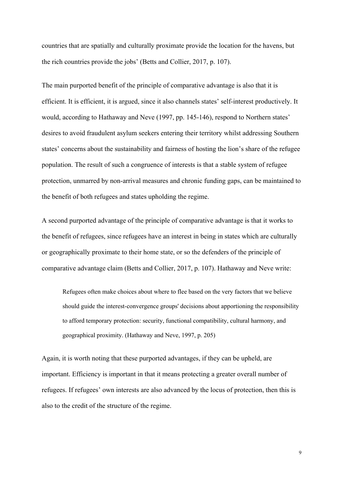countries that are spatially and culturally proximate provide the location for the havens, but the rich countries provide the jobs' (Betts and Collier, 2017, p. 107).

The main purported benefit of the principle of comparative advantage is also that it is efficient. It is efficient, it is argued, since it also channels states' self-interest productively. It would, according to Hathaway and Neve (1997, pp. 145-146), respond to Northern states' desires to avoid fraudulent asylum seekers entering their territory whilst addressing Southern states' concerns about the sustainability and fairness of hosting the lion's share of the refugee population. The result of such a congruence of interests is that a stable system of refugee protection, unmarred by non-arrival measures and chronic funding gaps, can be maintained to the benefit of both refugees and states upholding the regime.

A second purported advantage of the principle of comparative advantage is that it works to the benefit of refugees, since refugees have an interest in being in states which are culturally or geographically proximate to their home state, or so the defenders of the principle of comparative advantage claim (Betts and Collier, 2017, p. 107). Hathaway and Neve write:

Refugees often make choices about where to flee based on the very factors that we believe should guide the interest-convergence groups' decisions about apportioning the responsibility to afford temporary protection: security, functional compatibility, cultural harmony, and geographical proximity. (Hathaway and Neve, 1997, p. 205)

Again, it is worth noting that these purported advantages, if they can be upheld, are important. Efficiency is important in that it means protecting a greater overall number of refugees. If refugees' own interests are also advanced by the locus of protection, then this is also to the credit of the structure of the regime.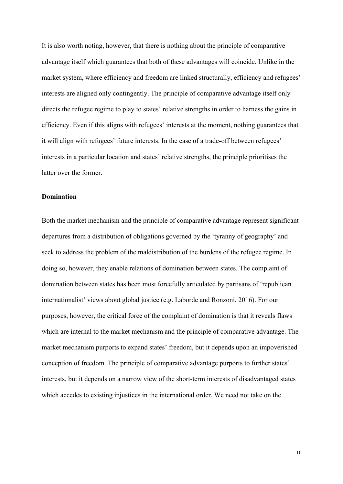It is also worth noting, however, that there is nothing about the principle of comparative advantage itself which guarantees that both of these advantages will coincide. Unlike in the market system, where efficiency and freedom are linked structurally, efficiency and refugees' interests are aligned only contingently. The principle of comparative advantage itself only directs the refugee regime to play to states' relative strengths in order to harness the gains in efficiency. Even if this aligns with refugees' interests at the moment, nothing guarantees that it will align with refugees' future interests. In the case of a trade-off between refugees' interests in a particular location and states' relative strengths, the principle prioritises the latter over the former.

## **Domination**

Both the market mechanism and the principle of comparative advantage represent significant departures from a distribution of obligations governed by the 'tyranny of geography' and seek to address the problem of the maldistribution of the burdens of the refugee regime. In doing so, however, they enable relations of domination between states. The complaint of domination between states has been most forcefully articulated by partisans of 'republican internationalist' views about global justice (e.g. Laborde and Ronzoni, 2016). For our purposes, however, the critical force of the complaint of domination is that it reveals flaws which are internal to the market mechanism and the principle of comparative advantage. The market mechanism purports to expand states' freedom, but it depends upon an impoverished conception of freedom. The principle of comparative advantage purports to further states' interests, but it depends on a narrow view of the short-term interests of disadvantaged states which accedes to existing injustices in the international order. We need not take on the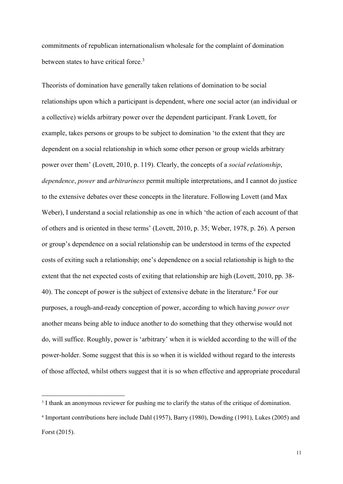commitments of republican internationalism wholesale for the complaint of domination between states to have critical force.3

Theorists of domination have generally taken relations of domination to be social relationships upon which a participant is dependent, where one social actor (an individual or a collective) wields arbitrary power over the dependent participant. Frank Lovett, for example, takes persons or groups to be subject to domination 'to the extent that they are dependent on a social relationship in which some other person or group wields arbitrary power over them' (Lovett, 2010, p. 119). Clearly, the concepts of a *social relationship*, *dependence*, *power* and *arbitrariness* permit multiple interpretations, and I cannot do justice to the extensive debates over these concepts in the literature. Following Lovett (and Max Weber), I understand a social relationship as one in which 'the action of each account of that of others and is oriented in these terms' (Lovett, 2010, p. 35; Weber, 1978, p. 26). A person or group's dependence on a social relationship can be understood in terms of the expected costs of exiting such a relationship; one's dependence on a social relationship is high to the extent that the net expected costs of exiting that relationship are high (Lovett, 2010, pp. 38- 40). The concept of power is the subject of extensive debate in the literature.4 For our purposes, a rough-and-ready conception of power, according to which having *power over* another means being able to induce another to do something that they otherwise would not do, will suffice. Roughly, power is 'arbitrary' when it is wielded according to the will of the power-holder. Some suggest that this is so when it is wielded without regard to the interests of those affected, whilst others suggest that it is so when effective and appropriate procedural

<sup>&</sup>lt;sup>3</sup> I thank an anonymous reviewer for pushing me to clarify the status of the critique of domination.

<sup>4</sup> Important contributions here include Dahl (1957), Barry (1980), Dowding (1991), Lukes (2005) and Forst (2015).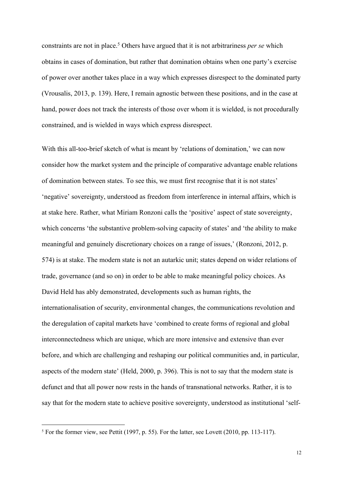constraints are not in place.5 Others have argued that it is not arbitrariness *per se* which obtains in cases of domination, but rather that domination obtains when one party's exercise of power over another takes place in a way which expresses disrespect to the dominated party (Vrousalis, 2013, p. 139). Here, I remain agnostic between these positions, and in the case at hand, power does not track the interests of those over whom it is wielded, is not procedurally constrained, and is wielded in ways which express disrespect.

With this all-too-brief sketch of what is meant by 'relations of domination,' we can now consider how the market system and the principle of comparative advantage enable relations of domination between states. To see this, we must first recognise that it is not states' 'negative' sovereignty, understood as freedom from interference in internal affairs, which is at stake here. Rather, what Miriam Ronzoni calls the 'positive' aspect of state sovereignty, which concerns 'the substantive problem-solving capacity of states' and 'the ability to make meaningful and genuinely discretionary choices on a range of issues,' (Ronzoni, 2012, p. 574) is at stake. The modern state is not an autarkic unit; states depend on wider relations of trade, governance (and so on) in order to be able to make meaningful policy choices. As David Held has ably demonstrated, developments such as human rights, the internationalisation of security, environmental changes, the communications revolution and the deregulation of capital markets have 'combined to create forms of regional and global interconnectedness which are unique, which are more intensive and extensive than ever before, and which are challenging and reshaping our political communities and, in particular, aspects of the modern state' (Held, 2000, p. 396). This is not to say that the modern state is defunct and that all power now rests in the hands of transnational networks. Rather, it is to say that for the modern state to achieve positive sovereignty, understood as institutional 'self-

 $5$  For the former view, see Pettit (1997, p. 55). For the latter, see Lovett (2010, pp. 113-117).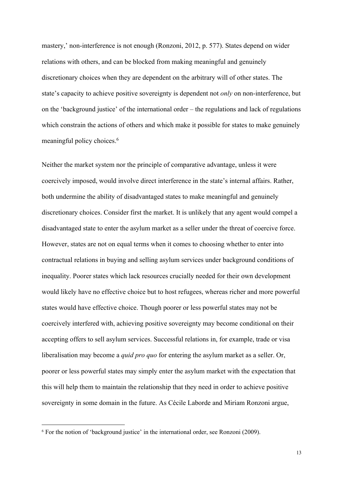mastery,' non-interference is not enough (Ronzoni, 2012, p. 577). States depend on wider relations with others, and can be blocked from making meaningful and genuinely discretionary choices when they are dependent on the arbitrary will of other states. The state's capacity to achieve positive sovereignty is dependent not *only* on non-interference, but on the 'background justice' of the international order – the regulations and lack of regulations which constrain the actions of others and which make it possible for states to make genuinely meaningful policy choices.<sup>6</sup>

Neither the market system nor the principle of comparative advantage, unless it were coercively imposed, would involve direct interference in the state's internal affairs. Rather, both undermine the ability of disadvantaged states to make meaningful and genuinely discretionary choices. Consider first the market. It is unlikely that any agent would compel a disadvantaged state to enter the asylum market as a seller under the threat of coercive force. However, states are not on equal terms when it comes to choosing whether to enter into contractual relations in buying and selling asylum services under background conditions of inequality. Poorer states which lack resources crucially needed for their own development would likely have no effective choice but to host refugees, whereas richer and more powerful states would have effective choice. Though poorer or less powerful states may not be coercively interfered with, achieving positive sovereignty may become conditional on their accepting offers to sell asylum services. Successful relations in, for example, trade or visa liberalisation may become a *quid pro quo* for entering the asylum market as a seller. Or, poorer or less powerful states may simply enter the asylum market with the expectation that this will help them to maintain the relationship that they need in order to achieve positive sovereignty in some domain in the future. As Cécile Laborde and Miriam Ronzoni argue,

<sup>6</sup> For the notion of 'background justice' in the international order, see Ronzoni (2009).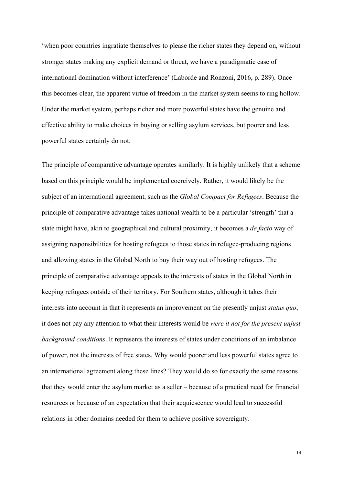'when poor countries ingratiate themselves to please the richer states they depend on, without stronger states making any explicit demand or threat, we have a paradigmatic case of international domination without interference' (Laborde and Ronzoni, 2016, p. 289). Once this becomes clear, the apparent virtue of freedom in the market system seems to ring hollow. Under the market system, perhaps richer and more powerful states have the genuine and effective ability to make choices in buying or selling asylum services, but poorer and less powerful states certainly do not.

The principle of comparative advantage operates similarly. It is highly unlikely that a scheme based on this principle would be implemented coercively. Rather, it would likely be the subject of an international agreement, such as the *Global Compact for Refugees*. Because the principle of comparative advantage takes national wealth to be a particular 'strength' that a state might have, akin to geographical and cultural proximity, it becomes a *de facto* way of assigning responsibilities for hosting refugees to those states in refugee-producing regions and allowing states in the Global North to buy their way out of hosting refugees. The principle of comparative advantage appeals to the interests of states in the Global North in keeping refugees outside of their territory. For Southern states, although it takes their interests into account in that it represents an improvement on the presently unjust *status quo*, it does not pay any attention to what their interests would be *were it not for the present unjust background conditions*. It represents the interests of states under conditions of an imbalance of power, not the interests of free states. Why would poorer and less powerful states agree to an international agreement along these lines? They would do so for exactly the same reasons that they would enter the asylum market as a seller – because of a practical need for financial resources or because of an expectation that their acquiescence would lead to successful relations in other domains needed for them to achieve positive sovereignty.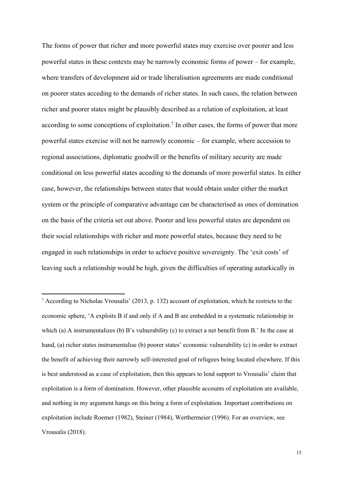The forms of power that richer and more powerful states may exercise over poorer and less powerful states in these contexts may be narrowly economic forms of power – for example, where transfers of development aid or trade liberalisation agreements are made conditional on poorer states acceding to the demands of richer states. In such cases, the relation between richer and poorer states might be plausibly described as a relation of exploitation, at least according to some conceptions of exploitation.<sup>7</sup> In other cases, the forms of power that more powerful states exercise will not be narrowly economic – for example, where accession to regional associations, diplomatic goodwill or the benefits of military security are made conditional on less powerful states acceding to the demands of more powerful states. In either case, however, the relationships between states that would obtain under either the market system or the principle of comparative advantage can be characterised as ones of domination on the basis of the criteria set out above. Poorer and less powerful states are dependent on their social relationships with richer and more powerful states, because they need to be engaged in such relationships in order to achieve positive sovereignty. The 'exit costs' of leaving such a relationship would be high, given the difficulties of operating autarkically in

<sup>7</sup> According to Nicholas Vrousalis' (2013, p. 132) account of exploitation, which he restricts to the economic sphere, 'A exploits B if and only if A and B are embedded in a systematic relationship in which (a) A instrumentalizes (b) B's vulnerability (c) to extract a net benefit from B.' In the case at hand, (a) richer states instrumentalise (b) poorer states' economic vulnerability (c) in order to extract the benefit of achieving their narrowly self-interested goal of refugees being located elsewhere. If this is best understood as a case of exploitation, then this appears to lend support to Vrousalis' claim that exploitation is a form of domination. However, other plausible accounts of exploitation are available, and nothing in my argument hangs on this being a form of exploitation. Important contributions on exploitation include Roemer (1982), Steiner (1984), Werthermeier (1996). For an overview, see Vrousalis (2018).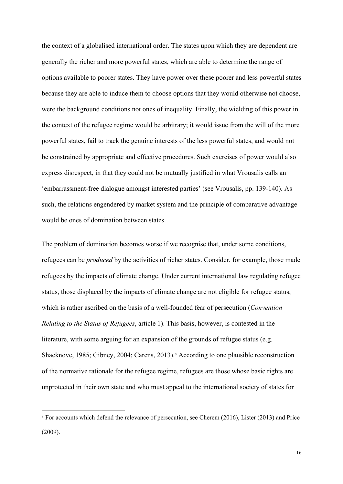the context of a globalised international order. The states upon which they are dependent are generally the richer and more powerful states, which are able to determine the range of options available to poorer states. They have power over these poorer and less powerful states because they are able to induce them to choose options that they would otherwise not choose, were the background conditions not ones of inequality. Finally, the wielding of this power in the context of the refugee regime would be arbitrary; it would issue from the will of the more powerful states, fail to track the genuine interests of the less powerful states, and would not be constrained by appropriate and effective procedures. Such exercises of power would also express disrespect, in that they could not be mutually justified in what Vrousalis calls an 'embarrassment-free dialogue amongst interested parties' (see Vrousalis, pp. 139-140). As such, the relations engendered by market system and the principle of comparative advantage would be ones of domination between states.

The problem of domination becomes worse if we recognise that, under some conditions, refugees can be *produced* by the activities of richer states. Consider, for example, those made refugees by the impacts of climate change. Under current international law regulating refugee status, those displaced by the impacts of climate change are not eligible for refugee status, which is rather ascribed on the basis of a well-founded fear of persecution (*Convention Relating to the Status of Refugees*, article 1). This basis, however, is contested in the literature, with some arguing for an expansion of the grounds of refugee status (e.g. Shacknove, 1985; Gibney, 2004; Carens, 2013).<sup>8</sup> According to one plausible reconstruction of the normative rationale for the refugee regime, refugees are those whose basic rights are unprotected in their own state and who must appeal to the international society of states for

<sup>&</sup>lt;sup>8</sup> For accounts which defend the relevance of persecution, see Cherem (2016), Lister (2013) and Price (2009).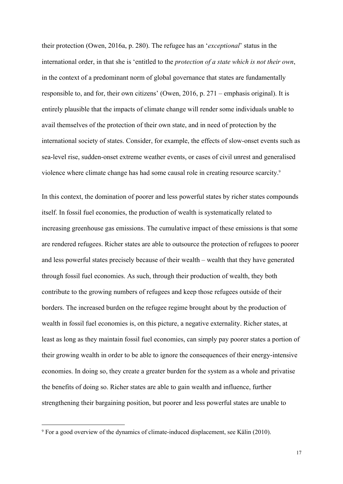their protection (Owen, 2016a, p. 280). The refugee has an '*exceptional*' status in the international order, in that she is 'entitled to the *protection of a state which is not their own*, in the context of a predominant norm of global governance that states are fundamentally responsible to, and for, their own citizens' (Owen, 2016, p. 271 – emphasis original). It is entirely plausible that the impacts of climate change will render some individuals unable to avail themselves of the protection of their own state, and in need of protection by the international society of states. Consider, for example, the effects of slow-onset events such as sea-level rise, sudden-onset extreme weather events, or cases of civil unrest and generalised violence where climate change has had some causal role in creating resource scarcity.9

In this context, the domination of poorer and less powerful states by richer states compounds itself. In fossil fuel economies, the production of wealth is systematically related to increasing greenhouse gas emissions. The cumulative impact of these emissions is that some are rendered refugees. Richer states are able to outsource the protection of refugees to poorer and less powerful states precisely because of their wealth – wealth that they have generated through fossil fuel economies. As such, through their production of wealth, they both contribute to the growing numbers of refugees and keep those refugees outside of their borders. The increased burden on the refugee regime brought about by the production of wealth in fossil fuel economies is, on this picture, a negative externality. Richer states, at least as long as they maintain fossil fuel economies, can simply pay poorer states a portion of their growing wealth in order to be able to ignore the consequences of their energy-intensive economies. In doing so, they create a greater burden for the system as a whole and privatise the benefits of doing so. Richer states are able to gain wealth and influence, further strengthening their bargaining position, but poorer and less powerful states are unable to

<sup>9</sup> For a good overview of the dynamics of climate-induced displacement, see Kälin (2010).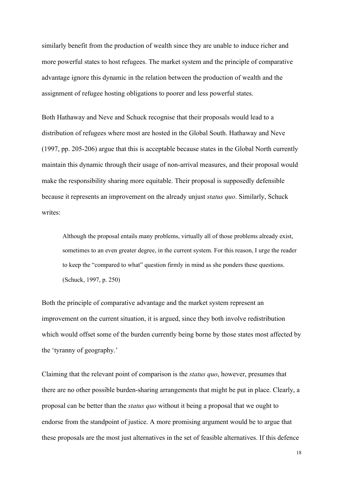similarly benefit from the production of wealth since they are unable to induce richer and more powerful states to host refugees. The market system and the principle of comparative advantage ignore this dynamic in the relation between the production of wealth and the assignment of refugee hosting obligations to poorer and less powerful states.

Both Hathaway and Neve and Schuck recognise that their proposals would lead to a distribution of refugees where most are hosted in the Global South. Hathaway and Neve (1997, pp. 205-206) argue that this is acceptable because states in the Global North currently maintain this dynamic through their usage of non-arrival measures, and their proposal would make the responsibility sharing more equitable. Their proposal is supposedly defensible because it represents an improvement on the already unjust *status quo*. Similarly, Schuck writes:

Although the proposal entails many problems, virtually all of those problems already exist, sometimes to an even greater degree, in the current system. For this reason, I urge the reader to keep the "compared to what" question firmly in mind as she ponders these questions. (Schuck, 1997, p. 250)

Both the principle of comparative advantage and the market system represent an improvement on the current situation, it is argued, since they both involve redistribution which would offset some of the burden currently being borne by those states most affected by the 'tyranny of geography.'

Claiming that the relevant point of comparison is the *status quo*, however, presumes that there are no other possible burden-sharing arrangements that might be put in place. Clearly, a proposal can be better than the *status quo* without it being a proposal that we ought to endorse from the standpoint of justice. A more promising argument would be to argue that these proposals are the most just alternatives in the set of feasible alternatives. If this defence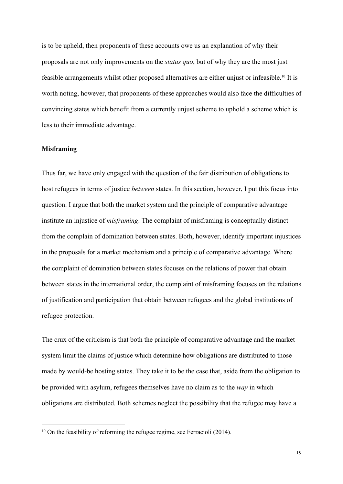is to be upheld, then proponents of these accounts owe us an explanation of why their proposals are not only improvements on the *status quo*, but of why they are the most just feasible arrangements whilst other proposed alternatives are either unjust or infeasible.10 It is worth noting, however, that proponents of these approaches would also face the difficulties of convincing states which benefit from a currently unjust scheme to uphold a scheme which is less to their immediate advantage.

### **Misframing**

Thus far, we have only engaged with the question of the fair distribution of obligations to host refugees in terms of justice *between* states. In this section, however, I put this focus into question. I argue that both the market system and the principle of comparative advantage institute an injustice of *misframing*. The complaint of misframing is conceptually distinct from the complain of domination between states. Both, however, identify important injustices in the proposals for a market mechanism and a principle of comparative advantage. Where the complaint of domination between states focuses on the relations of power that obtain between states in the international order, the complaint of misframing focuses on the relations of justification and participation that obtain between refugees and the global institutions of refugee protection.

The crux of the criticism is that both the principle of comparative advantage and the market system limit the claims of justice which determine how obligations are distributed to those made by would-be hosting states. They take it to be the case that, aside from the obligation to be provided with asylum, refugees themselves have no claim as to the *way* in which obligations are distributed. Both schemes neglect the possibility that the refugee may have a

<sup>&</sup>lt;sup>10</sup> On the feasibility of reforming the refugee regime, see Ferracioli (2014).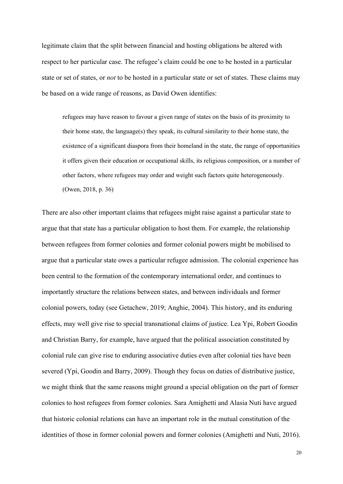legitimate claim that the split between financial and hosting obligations be altered with respect to her particular case. The refugee's claim could be one to be hosted in a particular state or set of states, or *not* to be hosted in a particular state or set of states. These claims may be based on a wide range of reasons, as David Owen identifies:

refugees may have reason to favour a given range of states on the basis of its proximity to their home state, the language(s) they speak, its cultural similarity to their home state, the existence of a significant diaspora from their homeland in the state, the range of opportunities it offers given their education or occupational skills, its religious composition, or a number of other factors, where refugees may order and weight such factors quite heterogeneously. (Owen, 2018, p. 36)

There are also other important claims that refugees might raise against a particular state to argue that that state has a particular obligation to host them. For example, the relationship between refugees from former colonies and former colonial powers might be mobilised to argue that a particular state owes a particular refugee admission. The colonial experience has been central to the formation of the contemporary international order, and continues to importantly structure the relations between states, and between individuals and former colonial powers, today (see Getachew, 2019; Anghie, 2004). This history, and its enduring effects, may well give rise to special transnational claims of justice. Lea Ypi, Robert Goodin and Christian Barry, for example, have argued that the political association constituted by colonial rule can give rise to enduring associative duties even after colonial ties have been severed (Ypi, Goodin and Barry, 2009). Though they focus on duties of distributive justice, we might think that the same reasons might ground a special obligation on the part of former colonies to host refugees from former colonies. Sara Amighetti and Alasia Nuti have argued that historic colonial relations can have an important role in the mutual constitution of the identities of those in former colonial powers and former colonies (Amighetti and Nuti, 2016).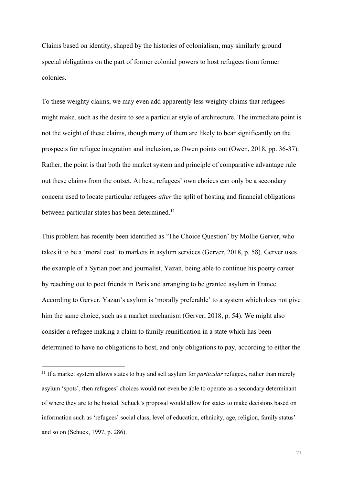Claims based on identity, shaped by the histories of colonialism, may similarly ground special obligations on the part of former colonial powers to host refugees from former colonies.

To these weighty claims, we may even add apparently less weighty claims that refugees might make, such as the desire to see a particular style of architecture. The immediate point is not the weight of these claims, though many of them are likely to bear significantly on the prospects for refugee integration and inclusion, as Owen points out (Owen, 2018, pp. 36-37). Rather, the point is that both the market system and principle of comparative advantage rule out these claims from the outset. At best, refugees' own choices can only be a secondary concern used to locate particular refugees *after* the split of hosting and financial obligations between particular states has been determined.<sup>11</sup>

This problem has recently been identified as 'The Choice Question' by Mollie Gerver, who takes it to be a 'moral cost' to markets in asylum services (Gerver, 2018, p. 58). Gerver uses the example of a Syrian poet and journalist, Yazan, being able to continue his poetry career by reaching out to poet friends in Paris and arranging to be granted asylum in France. According to Gerver, Yazan's asylum is 'morally preferable' to a system which does not give him the same choice, such as a market mechanism (Gerver, 2018, p. 54). We might also consider a refugee making a claim to family reunification in a state which has been determined to have no obligations to host, and only obligations to pay, according to either the

<sup>&</sup>lt;sup>11</sup> If a market system allows states to buy and sell asylum for *particular* refugees, rather than merely asylum 'spots', then refugees' choices would not even be able to operate as a secondary determinant of where they are to be hosted. Schuck's proposal would allow for states to make decisions based on information such as 'refugees' social class, level of education, ethnicity, age, religion, family status' and so on (Schuck, 1997, p. 286).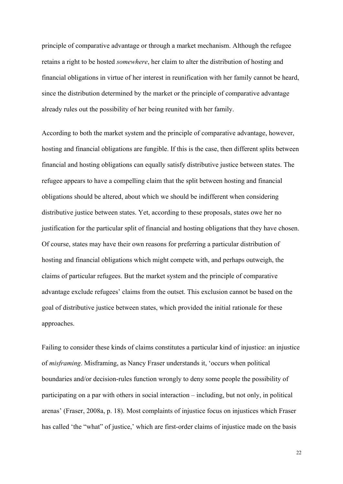principle of comparative advantage or through a market mechanism. Although the refugee retains a right to be hosted *somewhere*, her claim to alter the distribution of hosting and financial obligations in virtue of her interest in reunification with her family cannot be heard, since the distribution determined by the market or the principle of comparative advantage already rules out the possibility of her being reunited with her family.

According to both the market system and the principle of comparative advantage, however, hosting and financial obligations are fungible. If this is the case, then different splits between financial and hosting obligations can equally satisfy distributive justice between states. The refugee appears to have a compelling claim that the split between hosting and financial obligations should be altered, about which we should be indifferent when considering distributive justice between states. Yet, according to these proposals, states owe her no justification for the particular split of financial and hosting obligations that they have chosen. Of course, states may have their own reasons for preferring a particular distribution of hosting and financial obligations which might compete with, and perhaps outweigh, the claims of particular refugees. But the market system and the principle of comparative advantage exclude refugees' claims from the outset. This exclusion cannot be based on the goal of distributive justice between states, which provided the initial rationale for these approaches.

Failing to consider these kinds of claims constitutes a particular kind of injustice: an injustice of *misframing*. Misframing, as Nancy Fraser understands it, 'occurs when political boundaries and/or decision-rules function wrongly to deny some people the possibility of participating on a par with others in social interaction – including, but not only, in political arenas' (Fraser, 2008a, p. 18). Most complaints of injustice focus on injustices which Fraser has called 'the "what" of justice,' which are first-order claims of injustice made on the basis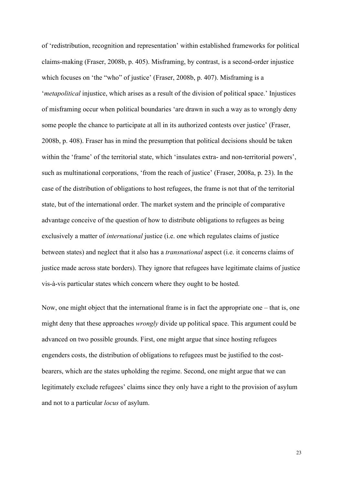of 'redistribution, recognition and representation' within established frameworks for political claims-making (Fraser, 2008b, p. 405). Misframing, by contrast, is a second-order injustice which focuses on 'the "who" of justice' (Fraser, 2008b, p. 407). Misframing is a '*metapolitical* injustice, which arises as a result of the division of political space.' Injustices of misframing occur when political boundaries 'are drawn in such a way as to wrongly deny some people the chance to participate at all in its authorized contests over justice' (Fraser, 2008b, p. 408). Fraser has in mind the presumption that political decisions should be taken within the 'frame' of the territorial state, which 'insulates extra- and non-territorial powers', such as multinational corporations, 'from the reach of justice' (Fraser, 2008a, p. 23). In the case of the distribution of obligations to host refugees, the frame is not that of the territorial state, but of the international order. The market system and the principle of comparative advantage conceive of the question of how to distribute obligations to refugees as being exclusively a matter of *international* justice (i.e. one which regulates claims of justice between states) and neglect that it also has a *transnational* aspect (i.e. it concerns claims of justice made across state borders). They ignore that refugees have legitimate claims of justice vis-à-vis particular states which concern where they ought to be hosted.

Now, one might object that the international frame is in fact the appropriate one – that is, one might deny that these approaches *wrongly* divide up political space. This argument could be advanced on two possible grounds. First, one might argue that since hosting refugees engenders costs, the distribution of obligations to refugees must be justified to the costbearers, which are the states upholding the regime. Second, one might argue that we can legitimately exclude refugees' claims since they only have a right to the provision of asylum and not to a particular *locus* of asylum.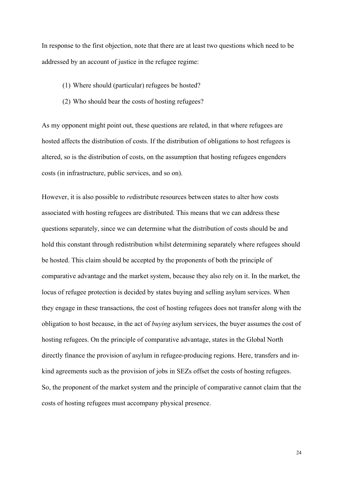In response to the first objection, note that there are at least two questions which need to be addressed by an account of justice in the refugee regime:

- (1) Where should (particular) refugees be hosted?
- (2) Who should bear the costs of hosting refugees?

As my opponent might point out, these questions are related, in that where refugees are hosted affects the distribution of costs. If the distribution of obligations to host refugees is altered, so is the distribution of costs, on the assumption that hosting refugees engenders costs (in infrastructure, public services, and so on).

However, it is also possible to *re*distribute resources between states to alter how costs associated with hosting refugees are distributed. This means that we can address these questions separately, since we can determine what the distribution of costs should be and hold this constant through redistribution whilst determining separately where refugees should be hosted. This claim should be accepted by the proponents of both the principle of comparative advantage and the market system, because they also rely on it. In the market, the locus of refugee protection is decided by states buying and selling asylum services. When they engage in these transactions, the cost of hosting refugees does not transfer along with the obligation to host because, in the act of *buying* asylum services, the buyer assumes the cost of hosting refugees. On the principle of comparative advantage, states in the Global North directly finance the provision of asylum in refugee-producing regions. Here, transfers and inkind agreements such as the provision of jobs in SEZs offset the costs of hosting refugees. So, the proponent of the market system and the principle of comparative cannot claim that the costs of hosting refugees must accompany physical presence.

24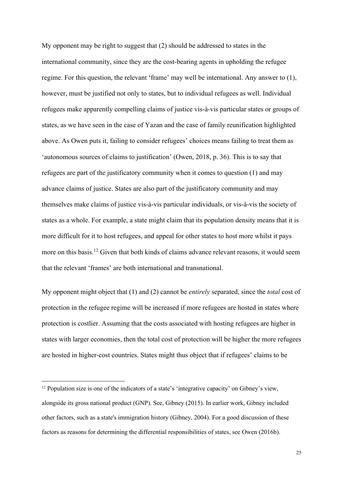My opponent may be right to suggest that (2) should be addressed to states in the international community, since they are the cost-bearing agents in upholding the refugee regime. For this question, the relevant 'frame' may well be international. Any answer to (1), however, must be justified not only to states, but to individual refugees as well. Individual refugees make apparently compelling claims of justice vis-à-vis particular states or groups of states, as we have seen in the case of Yazan and the case of family reunification highlighted above. As Owen puts it, failing to consider refugees' choices means failing to treat them as 'autonomous sources of claims to justification' (Owen, 2018, p. 36). This is to say that refugees are part of the justificatory community when it comes to question (1) and may advance claims of justice. States are also part of the justificatory community and may themselves make claims of justice vis-à-vis particular individuals, or vis-à-vis the society of states as a whole. For example, a state might claim that its population density means that it is more difficult for it to host refugees, and appeal for other states to host more whilst it pays more on this basis.<sup>12</sup> Given that both kinds of claims advance relevant reasons, it would seem that the relevant 'frames' are both international and transnational.

My opponent might object that (1) and (2) cannot be *entirely* separated, since the *total* cost of protection in the refugee regime will be increased if more refugees are hosted in states where protection is costlier. Assuming that the costs associated with hosting refugees are higher in states with larger economies, then the total cost of protection will be higher the more refugees are hosted in higher-cost countries. States might thus object that if refugees' claims to be

 $12$  Population size is one of the indicators of a state's 'integrative capacity' on Gibney's view. alongside its gross national product (GNP). See, Gibney (2015). In earlier work, Gibney included other factors, such as a state's immigration history (Gibney, 2004). For a good discussion of these factors as reasons for determining the differential responsibilities of states, see Owen (2016b).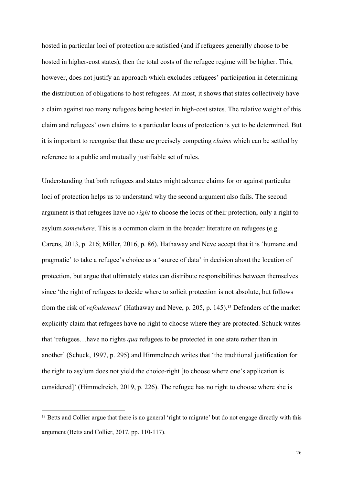hosted in particular loci of protection are satisfied (and if refugees generally choose to be hosted in higher-cost states), then the total costs of the refugee regime will be higher. This, however, does not justify an approach which excludes refugees' participation in determining the distribution of obligations to host refugees. At most, it shows that states collectively have a claim against too many refugees being hosted in high-cost states. The relative weight of this claim and refugees' own claims to a particular locus of protection is yet to be determined. But it is important to recognise that these are precisely competing *claims* which can be settled by reference to a public and mutually justifiable set of rules.

Understanding that both refugees and states might advance claims for or against particular loci of protection helps us to understand why the second argument also fails. The second argument is that refugees have no *right* to choose the locus of their protection, only a right to asylum *somewhere*. This is a common claim in the broader literature on refugees (e.g. Carens, 2013, p. 216; Miller, 2016, p. 86). Hathaway and Neve accept that it is 'humane and pragmatic' to take a refugee's choice as a 'source of data' in decision about the location of protection, but argue that ultimately states can distribute responsibilities between themselves since 'the right of refugees to decide where to solicit protection is not absolute, but follows from the risk of *refoulement*' (Hathaway and Neve, p. 205, p. 145).13 Defenders of the market explicitly claim that refugees have no right to choose where they are protected. Schuck writes that 'refugees…have no rights *qua* refugees to be protected in one state rather than in another' (Schuck, 1997, p. 295) and Himmelreich writes that 'the traditional justification for the right to asylum does not yield the choice-right [to choose where one's application is considered]' (Himmelreich, 2019, p. 226). The refugee has no right to choose where she is

<sup>&</sup>lt;sup>13</sup> Betts and Collier argue that there is no general 'right to migrate' but do not engage directly with this argument (Betts and Collier, 2017, pp. 110-117).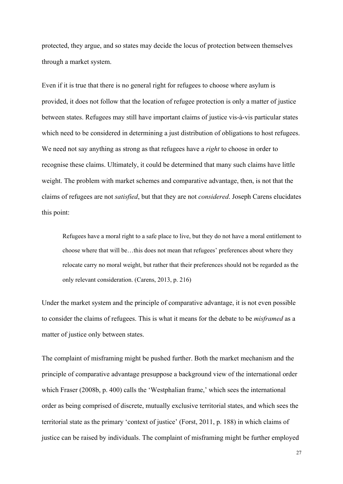protected, they argue, and so states may decide the locus of protection between themselves through a market system.

Even if it is true that there is no general right for refugees to choose where asylum is provided, it does not follow that the location of refugee protection is only a matter of justice between states. Refugees may still have important claims of justice vis-à-vis particular states which need to be considered in determining a just distribution of obligations to host refugees. We need not say anything as strong as that refugees have a *right* to choose in order to recognise these claims. Ultimately, it could be determined that many such claims have little weight. The problem with market schemes and comparative advantage, then, is not that the claims of refugees are not *satisfied*, but that they are not *considered*. Joseph Carens elucidates this point:

Refugees have a moral right to a safe place to live, but they do not have a moral entitlement to choose where that will be…this does not mean that refugees' preferences about where they relocate carry no moral weight, but rather that their preferences should not be regarded as the only relevant consideration. (Carens, 2013, p. 216)

Under the market system and the principle of comparative advantage, it is not even possible to consider the claims of refugees. This is what it means for the debate to be *misframed* as a matter of justice only between states.

The complaint of misframing might be pushed further. Both the market mechanism and the principle of comparative advantage presuppose a background view of the international order which Fraser (2008b, p. 400) calls the 'Westphalian frame,' which sees the international order as being comprised of discrete, mutually exclusive territorial states, and which sees the territorial state as the primary 'context of justice' (Forst, 2011, p. 188) in which claims of justice can be raised by individuals. The complaint of misframing might be further employed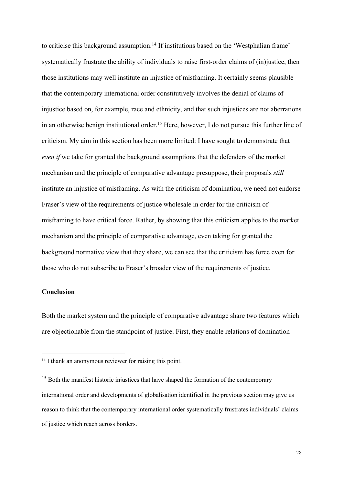to criticise this background assumption.<sup>14</sup> If institutions based on the 'Westphalian frame' systematically frustrate the ability of individuals to raise first-order claims of (in)justice, then those institutions may well institute an injustice of misframing. It certainly seems plausible that the contemporary international order constitutively involves the denial of claims of injustice based on, for example, race and ethnicity, and that such injustices are not aberrations in an otherwise benign institutional order.<sup>15</sup> Here, however, I do not pursue this further line of criticism. My aim in this section has been more limited: I have sought to demonstrate that *even if* we take for granted the background assumptions that the defenders of the market mechanism and the principle of comparative advantage presuppose, their proposals *still* institute an injustice of misframing. As with the criticism of domination, we need not endorse Fraser's view of the requirements of justice wholesale in order for the criticism of misframing to have critical force. Rather, by showing that this criticism applies to the market mechanism and the principle of comparative advantage, even taking for granted the background normative view that they share, we can see that the criticism has force even for those who do not subscribe to Fraser's broader view of the requirements of justice.

# **Conclusion**

Both the market system and the principle of comparative advantage share two features which are objectionable from the standpoint of justice. First, they enable relations of domination

<sup>&</sup>lt;sup>14</sup> I thank an anonymous reviewer for raising this point.

<sup>&</sup>lt;sup>15</sup> Both the manifest historic injustices that have shaped the formation of the contemporary international order and developments of globalisation identified in the previous section may give us reason to think that the contemporary international order systematically frustrates individuals' claims of justice which reach across borders.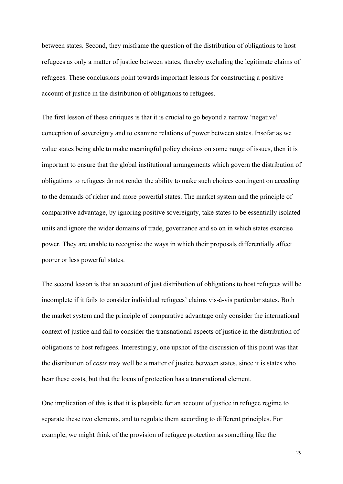between states. Second, they misframe the question of the distribution of obligations to host refugees as only a matter of justice between states, thereby excluding the legitimate claims of refugees. These conclusions point towards important lessons for constructing a positive account of justice in the distribution of obligations to refugees.

The first lesson of these critiques is that it is crucial to go beyond a narrow 'negative' conception of sovereignty and to examine relations of power between states. Insofar as we value states being able to make meaningful policy choices on some range of issues, then it is important to ensure that the global institutional arrangements which govern the distribution of obligations to refugees do not render the ability to make such choices contingent on acceding to the demands of richer and more powerful states. The market system and the principle of comparative advantage, by ignoring positive sovereignty, take states to be essentially isolated units and ignore the wider domains of trade, governance and so on in which states exercise power. They are unable to recognise the ways in which their proposals differentially affect poorer or less powerful states.

The second lesson is that an account of just distribution of obligations to host refugees will be incomplete if it fails to consider individual refugees' claims vis-à-vis particular states. Both the market system and the principle of comparative advantage only consider the international context of justice and fail to consider the transnational aspects of justice in the distribution of obligations to host refugees. Interestingly, one upshot of the discussion of this point was that the distribution of *costs* may well be a matter of justice between states, since it is states who bear these costs, but that the locus of protection has a transnational element.

One implication of this is that it is plausible for an account of justice in refugee regime to separate these two elements, and to regulate them according to different principles. For example, we might think of the provision of refugee protection as something like the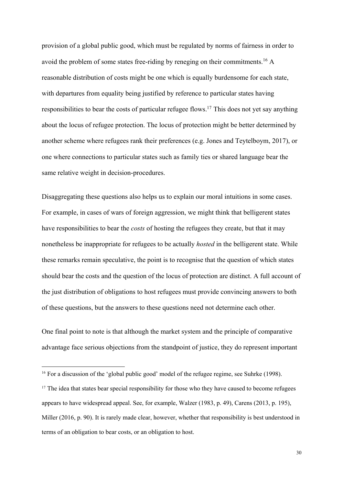provision of a global public good, which must be regulated by norms of fairness in order to avoid the problem of some states free-riding by reneging on their commitments.16 A reasonable distribution of costs might be one which is equally burdensome for each state, with departures from equality being justified by reference to particular states having responsibilities to bear the costs of particular refugee flows.<sup>17</sup> This does not yet say anything about the locus of refugee protection. The locus of protection might be better determined by another scheme where refugees rank their preferences (e.g. Jones and Teytelboym, 2017), or one where connections to particular states such as family ties or shared language bear the same relative weight in decision-procedures.

Disaggregating these questions also helps us to explain our moral intuitions in some cases. For example, in cases of wars of foreign aggression, we might think that belligerent states have responsibilities to bear the *costs* of hosting the refugees they create, but that it may nonetheless be inappropriate for refugees to be actually *hosted* in the belligerent state. While these remarks remain speculative, the point is to recognise that the question of which states should bear the costs and the question of the locus of protection are distinct. A full account of the just distribution of obligations to host refugees must provide convincing answers to both of these questions, but the answers to these questions need not determine each other.

One final point to note is that although the market system and the principle of comparative advantage face serious objections from the standpoint of justice, they do represent important

<sup>&</sup>lt;sup>16</sup> For a discussion of the 'global public good' model of the refugee regime, see Suhrke (1998).

 $17$  The idea that states bear special responsibility for those who they have caused to become refugees appears to have widespread appeal. See, for example, Walzer (1983, p. 49), Carens (2013, p. 195), Miller (2016, p. 90). It is rarely made clear, however, whether that responsibility is best understood in terms of an obligation to bear costs, or an obligation to host.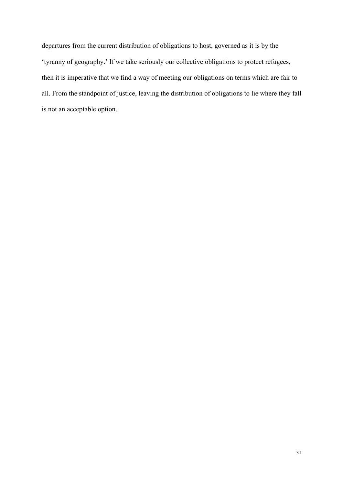departures from the current distribution of obligations to host, governed as it is by the 'tyranny of geography.' If we take seriously our collective obligations to protect refugees, then it is imperative that we find a way of meeting our obligations on terms which are fair to all. From the standpoint of justice, leaving the distribution of obligations to lie where they fall is not an acceptable option.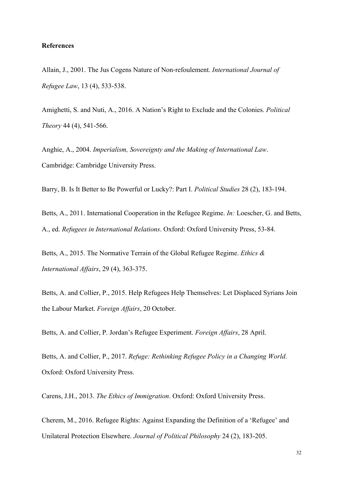## **References**

Allain, J., 2001. The Jus Cogens Nature of Non-refoulement. *International Journal of Refugee Law*, 13 (4), 533-538.

Amighetti, S. and Nuti, A., 2016. A Nation's Right to Exclude and the Colonies. *Political Theory* 44 (4), 541-566.

Anghie, A., 2004. *Imperialism, Sovereignty and the Making of International Law*. Cambridge: Cambridge University Press.

Barry, B. Is It Better to Be Powerful or Lucky?: Part I. *Political Studies* 28 (2), 183-194.

Betts, A., 2011. International Cooperation in the Refugee Regime. *In:* Loescher, G. and Betts, A., ed. *Refugees in International Relations*. Oxford: Oxford University Press, 53-84.

Betts, A., 2015. The Normative Terrain of the Global Refugee Regime. *Ethics & International Affairs*, 29 (4), 363-375.

Betts, A. and Collier, P., 2015. Help Refugees Help Themselves: Let Displaced Syrians Join the Labour Market. *Foreign Affairs*, 20 October.

Betts, A. and Collier, P. Jordan's Refugee Experiment. *Foreign Affairs*, 28 April.

Betts, A. and Collier, P., 2017. *Refuge: Rethinking Refugee Policy in a Changing World*. Oxford: Oxford University Press.

Carens, J.H., 2013. *The Ethics of Immigration*. Oxford: Oxford University Press.

Cherem, M., 2016. Refugee Rights: Against Expanding the Definition of a 'Refugee' and Unilateral Protection Elsewhere. *Journal of Political Philosophy* 24 (2), 183-205.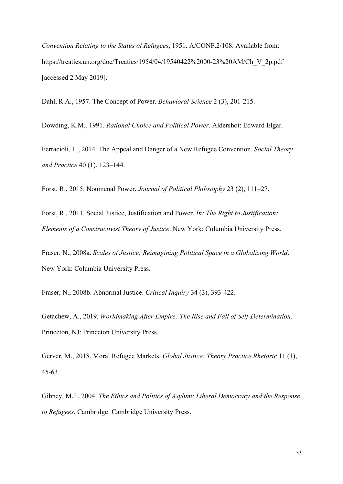*Convention Relating to the Status of Refugees*, 1951. A/CONF.2/108. Available from: https://treaties.un.org/doc/Treaties/1954/04/19540422%2000-23%20AM/Ch\_V\_2p.pdf [accessed 2 May 2019].

Dahl, R.A., 1957. The Concept of Power. *Behavioral Science* 2 (3), 201-215.

Dowding, K.M., 1991. *Rational Choice and Political Power*. Aldershot: Edward Elgar.

Ferracioli, L., 2014. The Appeal and Danger of a New Refugee Convention. *Social Theory and Practice* 40 (1), 123–144.

Forst, R., 2015. Noumenal Power. *Journal of Political Philosophy* 23 (2), 111–27.

Forst, R., 2011. Social Justice, Justification and Power. *In: The Right to Justification: Elements of a Constructivist Theory of Justice*. New York: Columbia University Press.

Fraser, N., 2008a. *Scales of Justice: Reimagining Political Space in a Globalizing World*. New York: Columbia University Press.

Fraser, N., 2008b. Abnormal Justice. *Critical Inquiry* 34 (3), 393-422.

Getachew, A., 2019. *Worldmaking After Empire: The Rise and Fall of Self-Determination*. Princeton, NJ: Princeton University Press.

Gerver, M., 2018. Moral Refugee Markets. *Global Justice: Theory Practice Rhetoric* 11 (1), 45-63.

Gibney, M.J., 2004. *The Ethics and Politics of Asylum: Liberal Democracy and the Response to Refugees*. Cambridge: Cambridge University Press.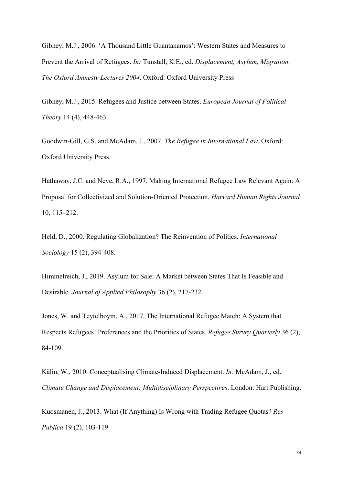Gibney, M.J., 2006. 'A Thousand Little Guantanamos': Western States and Measures to Prevent the Arrival of Refugees. *In:* Tunstall, K.E., ed. *Displacement, Asylum, Migration: The Oxford Amnesty Lectures 2004*. Oxford: Oxford University Press

Gibney, M.J., 2015. Refugees and Justice between States. *European Journal of Political Theory* 14 (4), 448-463.

Goodwin-Gill, G.S. and McAdam, J., 2007. *The Refugee in International Law*. Oxford: Oxford University Press.

Hathaway, J.C. and Neve, R.A., 1997. Making International Refugee Law Relevant Again: A Proposal for Collectivized and Solution-Oriented Protection. *Harvard Human Rights Journal* 10, 115–212.

Held, D., 2000. Regulating Globalization? The Reinvention of Politics. *International Sociology* 15 (2), 394-408.

Himmelreich, J., 2019. Asylum for Sale: A Market between States That Is Feasible and Desirable. *Journal of Applied Philosophy* 36 (2), 217-232.

Jones, W. and Teytelboym, A., 2017. The International Refugee Match: A System that Respects Refugees' Preferences and the Priorities of States. *Refugee Survey Quarterly* 36 (2), 84-109.

Kälin, W., 2010. Conceptualising Climate-Induced Displacement. *In:* McAdam, J., ed. *Climate Change and Displacement: Multidisciplinary Perspectives*. London: Hart Publishing.

Kuosmanen, J., 2013. What (If Anything) Is Wrong with Trading Refugee Quotas? *Res Publica* 19 (2), 103-119.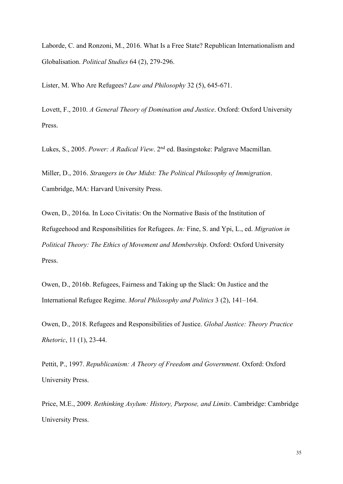Laborde, C. and Ronzoni, M., 2016. What Is a Free State? Republican Internationalism and Globalisation. *Political Studies* 64 (2), 279-296.

Lister, M. Who Are Refugees? *Law and Philosophy* 32 (5), 645-671.

Lovett, F., 2010. *A General Theory of Domination and Justice*. Oxford: Oxford University Press.

Lukes, S., 2005. *Power: A Radical View*. 2nd ed. Basingstoke: Palgrave Macmillan.

Miller, D., 2016. *Strangers in Our Midst: The Political Philosophy of Immigration*. Cambridge, MA: Harvard University Press.

Owen, D., 2016a. In Loco Civitatis: On the Normative Basis of the Institution of Refugeehood and Responsibilities for Refugees. *In:* Fine, S. and Ypi, L., ed. *Migration in Political Theory: The Ethics of Movement and Membership*. Oxford: Oxford University Press.

Owen, D., 2016b. Refugees, Fairness and Taking up the Slack: On Justice and the International Refugee Regime. *Moral Philosophy and Politics* 3 (2), 141–164.

Owen, D., 2018. Refugees and Responsibilities of Justice. *Global Justice: Theory Practice Rhetoric*, 11 (1), 23-44.

Pettit, P., 1997. *Republicanism: A Theory of Freedom and Government*. Oxford: Oxford University Press.

Price, M.E., 2009. *Rethinking Asylum: History, Purpose, and Limits*. Cambridge: Cambridge University Press.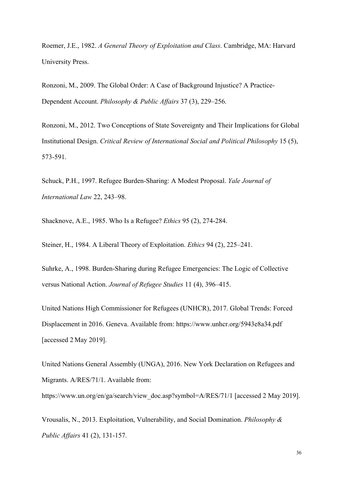Roemer, J.E., 1982. *A General Theory of Exploitation and Class*. Cambridge, MA: Harvard University Press.

Ronzoni, M., 2009. The Global Order: A Case of Background Injustice? A Practice-Dependent Account. *Philosophy & Public Affairs* 37 (3), 229–256.

Ronzoni, M., 2012. Two Conceptions of State Sovereignty and Their Implications for Global Institutional Design. *Critical Review of International Social and Political Philosophy* 15 (5), 573-591.

Schuck, P.H., 1997. Refugee Burden-Sharing: A Modest Proposal. *Yale Journal of International Law* 22, 243–98.

Shacknove, A.E., 1985. Who Is a Refugee? *Ethics* 95 (2), 274-284.

Steiner, H., 1984. A Liberal Theory of Exploitation. *Ethics* 94 (2), 225–241.

Suhrke, A., 1998. Burden-Sharing during Refugee Emergencies: The Logic of Collective versus National Action. *Journal of Refugee Studies* 11 (4), 396–415.

United Nations High Commissioner for Refugees (UNHCR), 2017. Global Trends: Forced Displacement in 2016. Geneva. Available from: https://www.unhcr.org/5943e8a34.pdf [accessed 2 May 2019].

United Nations General Assembly (UNGA), 2016. New York Declaration on Refugees and Migrants. A/RES/71/1. Available from:

https://www.un.org/en/ga/search/view\_doc.asp?symbol=A/RES/71/1 [accessed 2 May 2019].

Vrousalis, N., 2013. Exploitation, Vulnerability, and Social Domination. *Philosophy & Public Affairs* 41 (2), 131-157.